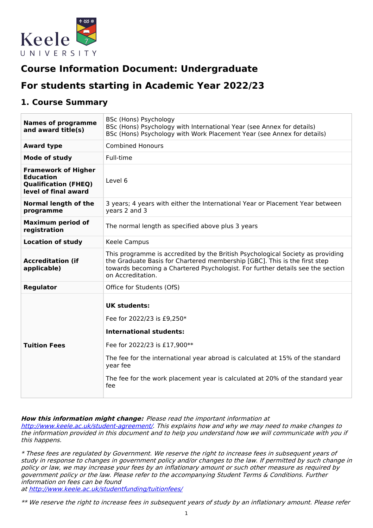

# **Course Information Document: Undergraduate**

# **For students starting in Academic Year 2022/23**

### **1. Course Summary**

| <b>Names of programme</b><br>and award title(s)                                                       | BSc (Hons) Psychology<br>BSc (Hons) Psychology with International Year (see Annex for details)<br>BSc (Hons) Psychology with Work Placement Year (see Annex for details)                                                                                                                                  |  |  |
|-------------------------------------------------------------------------------------------------------|-----------------------------------------------------------------------------------------------------------------------------------------------------------------------------------------------------------------------------------------------------------------------------------------------------------|--|--|
| <b>Award type</b>                                                                                     | <b>Combined Honours</b>                                                                                                                                                                                                                                                                                   |  |  |
| <b>Mode of study</b>                                                                                  | Full-time                                                                                                                                                                                                                                                                                                 |  |  |
| <b>Framework of Higher</b><br><b>Education</b><br><b>Qualification (FHEQ)</b><br>level of final award | Level 6                                                                                                                                                                                                                                                                                                   |  |  |
| Normal length of the<br>programme                                                                     | 3 years; 4 years with either the International Year or Placement Year between<br>years 2 and 3                                                                                                                                                                                                            |  |  |
| <b>Maximum period of</b><br>registration                                                              | The normal length as specified above plus 3 years                                                                                                                                                                                                                                                         |  |  |
| <b>Location of study</b>                                                                              | Keele Campus                                                                                                                                                                                                                                                                                              |  |  |
| <b>Accreditation (if</b><br>applicable)                                                               | This programme is accredited by the British Psychological Society as providing<br>the Graduate Basis for Chartered membership [GBC]. This is the first step<br>towards becoming a Chartered Psychologist. For further details see the section<br>on Accreditation.                                        |  |  |
| <b>Regulator</b>                                                                                      | Office for Students (OfS)                                                                                                                                                                                                                                                                                 |  |  |
| <b>Tuition Fees</b>                                                                                   | <b>UK students:</b><br>Fee for 2022/23 is £9,250*<br><b>International students:</b><br>Fee for 2022/23 is £17,900**<br>The fee for the international year abroad is calculated at 15% of the standard<br>year fee<br>The fee for the work placement year is calculated at 20% of the standard year<br>fee |  |  |

#### **How this information might change:** Please read the important information at

<http://www.keele.ac.uk/student-agreement/>. This explains how and why we may need to make changes to the information provided in this document and to help you understand how we will communicate with you if this happens.

\* These fees are regulated by Government. We reserve the right to increase fees in subsequent years of study in response to changes in government policy and/or changes to the law. If permitted by such change in policy or law, we may increase your fees by an inflationary amount or such other measure as required by government policy or the law. Please refer to the accompanying Student Terms & Conditions. Further information on fees can be found

at <http://www.keele.ac.uk/studentfunding/tuitionfees/>

\*\* We reserve the right to increase fees in subsequent years of study by an inflationary amount. Please refer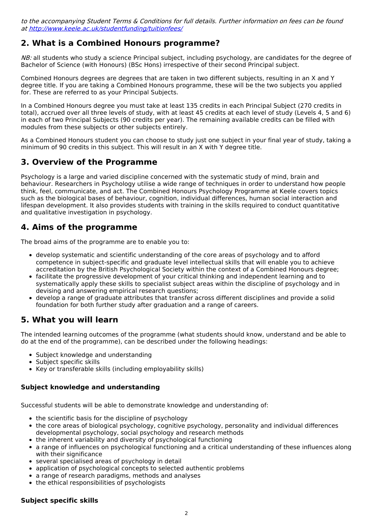to the accompanying Student Terms & Conditions for full details. Further information on fees can be found at <http://www.keele.ac.uk/studentfunding/tuitionfees/>

## **2. What is a Combined Honours programme?**

NB: all students who study a science Principal subject, including psychology, are candidates for the degree of Bachelor of Science (with Honours) (BSc Hons) irrespective of their second Principal subject.

Combined Honours degrees are degrees that are taken in two different subjects, resulting in an X and Y degree title. If you are taking a Combined Honours programme, these will be the two subjects you applied for. These are referred to as your Principal Subjects.

In a Combined Honours degree you must take at least 135 credits in each Principal Subject (270 credits in total), accrued over all three levels of study, with at least 45 credits at each level of study (Levels 4, 5 and 6) in each of two Principal Subjects (90 credits per year). The remaining available credits can be filled with modules from these subjects or other subjects entirely.

As a Combined Honours student you can choose to study just one subject in your final year of study, taking a minimum of 90 credits in this subject. This will result in an X with Y degree title.

## **3. Overview of the Programme**

Psychology is a large and varied discipline concerned with the systematic study of mind, brain and behaviour. Researchers in Psychology utilise a wide range of techniques in order to understand how people think, feel, communicate, and act. The Combined Honours Psychology Programme at Keele covers topics such as the biological bases of behaviour, cognition, individual differences, human social interaction and lifespan development. It also provides students with training in the skills required to conduct quantitative and qualitative investigation in psychology.

## **4. Aims of the programme**

The broad aims of the programme are to enable you to:

- develop systematic and scientific understanding of the core areas of psychology and to afford competence in subject-specific and graduate level intellectual skills that will enable you to achieve accreditation by the British Psychological Society within the context of a Combined Honours degree;
- facilitate the progressive development of your critical thinking and independent learning and to systematically apply these skills to specialist subject areas within the discipline of psychology and in devising and answering empirical research questions;
- develop a range of graduate attributes that transfer across different disciplines and provide a solid foundation for both further study after graduation and a range of careers.

## **5. What you will learn**

The intended learning outcomes of the programme (what students should know, understand and be able to do at the end of the programme), can be described under the following headings:

- Subject knowledge and understanding
- Subject specific skills
- Key or transferable skills (including employability skills)

### **Subject knowledge and understanding**

Successful students will be able to demonstrate knowledge and understanding of:

- the scientific basis for the discipline of psychology
- the core areas of biological psychology, cognitive psychology, personality and individual differences developmental psychology, social psychology and research methods
- the inherent variability and diversity of psychological functioning
- a range of influences on psychological functioning and a critical understanding of these influences along with their significance
- several specialised areas of psychology in detail
- application of psychological concepts to selected authentic problems
- a range of research paradigms, methods and analyses
- the ethical responsibilities of psychologists

#### **Subject specific skills**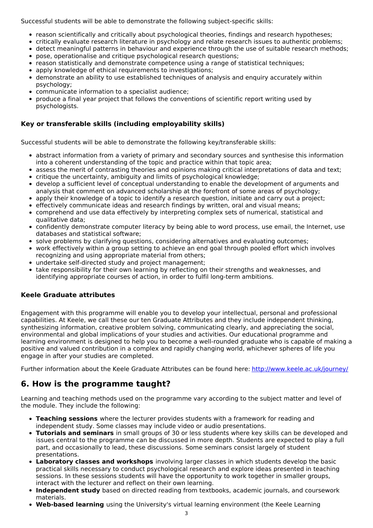Successful students will be able to demonstrate the following subject-specific skills:

- reason scientifically and critically about psychological theories, findings and research hypotheses;
- critically evaluate research literature in psychology and relate research issues to authentic problems;
- detect meaningful patterns in behaviour and experience through the use of suitable research methods;
- pose, operationalise and critique psychological research questions;  $\bullet$
- reason statistically and demonstrate competence using a range of statistical techniques;
- apply knowledge of ethical requirements to investigations;
- demonstrate an ability to use established techniques of analysis and enquiry accurately within psychology;
- communicate information to a specialist audience;
- produce a final year project that follows the conventions of scientific report writing used by psychologists.

### **Key or transferable skills (including employability skills)**

Successful students will be able to demonstrate the following key/transferable skills:

- abstract information from a variety of primary and secondary sources and synthesise this information into a coherent understanding of the topic and practice within that topic area;
- assess the merit of contrasting theories and opinions making critical interpretations of data and text; critique the uncertainty, ambiguity and limits of psychological knowledge;
- develop a sufficient level of conceptual understanding to enable the development of arguments and analysis that comment on advanced scholarship at the forefront of some areas of psychology;
- apply their knowledge of a topic to identify a research question, initiate and carry out a project;
- effectively communicate ideas and research findings by written, oral and visual means;
- comprehend and use data effectively by interpreting complex sets of numerical, statistical and qualitative data;
- confidently demonstrate computer literacy by being able to word process, use email, the Internet, use databases and statistical software;
- solve problems by clarifying questions, considering alternatives and evaluating outcomes;
- work effectively within a group setting to achieve an end goal through pooled effort which involves recognizing and using appropriate material from others;
- undertake self-directed study and project management;
- take responsibility for their own learning by reflecting on their strengths and weaknesses, and identifying appropriate courses of action, in order to fulfil long-term ambitions.

### **Keele Graduate attributes**

Engagement with this programme will enable you to develop your intellectual, personal and professional capabilities. At Keele, we call these our ten Graduate Attributes and they include independent thinking, synthesizing information, creative problem solving, communicating clearly, and appreciating the social, environmental and global implications of your studies and activities. Our educational programme and learning environment is designed to help you to become a well-rounded graduate who is capable of making a positive and valued contribution in a complex and rapidly changing world, whichever spheres of life you engage in after your studies are completed.

Further information about the Keele Graduate Attributes can be found here: <http://www.keele.ac.uk/journey/>

## **6. How is the programme taught?**

Learning and teaching methods used on the programme vary according to the subject matter and level of the module. They include the following:

- **Teaching sessions** where the lecturer provides students with a framework for reading and independent study. Some classes may include video or audio presentations.
- **Tutorials and seminars** in small groups of 30 or less students where key skills can be developed and issues central to the programme can be discussed in more depth. Students are expected to play a full part, and occasionally to lead, these discussions. Some seminars consist largely of student presentations.
- **Laboratory classes and workshops** involving larger classes in which students develop the basic practical skills necessary to conduct psychological research and explore ideas presented in teaching sessions. In these sessions students will have the opportunity to work together in smaller groups, interact with the lecturer and reflect on their own learning.
- **Independent study** based on directed reading from textbooks, academic journals, and coursework materials.
- **Web-based learning** using the University's virtual learning environment (the Keele Learning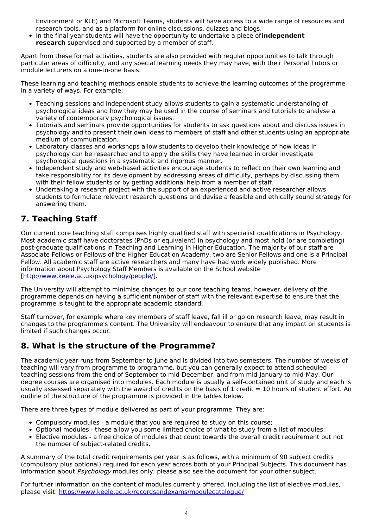Environment or KLE) and Microsoft Teams, students will have access to a wide range of resources and research tools, and as a platform for online discussions, quizzes and blogs.

In the final year students will have the opportunity to undertake a piece of**independent research** supervised and supported by a member of staff.

Apart from these formal activities, students are also provided with regular opportunities to talk through particular areas of difficulty, and any special learning needs they may have, with their Personal Tutors or module lecturers on a one-to-one basis.

These learning and teaching methods enable students to achieve the learning outcomes of the programme in a variety of ways. For example:

- Teaching sessions and independent study allows students to gain a systematic understanding of psychological ideas and how they may be used in the course of seminars and tutorials to analyse a variety of contemporary psychological issues.
- Tutorials and seminars provide opportunities for students to ask questions about and discuss issues in psychology and to present their own ideas to members of staff and other students using an appropriate medium of communication.
- Laboratory classes and workshops allow students to develop their knowledge of how ideas in psychology can be researched and to apply the skills they have learned in order investigate psychological questions in a systematic and rigorous manner.
- Independent study and web-based activities encourage students to reflect on their own learning and take responsibility for its development by addressing areas of difficulty, perhaps by discussing them with their fellow students or by getting additional help from a member of staff.
- Undertaking a research project with the support of an experienced and active researcher allows students to formulate relevant research questions and devise a feasible and ethically sound strategy for answering them.

# **7. Teaching Staff**

Our current core teaching staff comprises highly qualified staff with specialist qualifications in Psychology. Most academic staff have doctorates (PhDs or equivalent) in psychology and most hold (or are completing) post-graduate qualifications in Teaching and Learning in Higher Education. The majority of our staff are Associate Fellows or Fellows of the Higher Education Academy, two are Senior Fellows and one is a Principal Fellow. All academic staff are active researchers and many have had work widely published. More information about Psychology Staff Members is available on the School website [\[http://www.keele.ac.uk/psychology/people/](http://www.keele.ac.uk/psychology/people/)].

The University will attempt to minimise changes to our core teaching teams, however, delivery of the programme depends on having a sufficient number of staff with the relevant expertise to ensure that the programme is taught to the appropriate academic standard.

Staff turnover, for example where key members of staff leave, fall ill or go on research leave, may result in changes to the programme's content. The University will endeavour to ensure that any impact on students is limited if such changes occur.

## **8. What is the structure of the Programme?**

The academic year runs from September to June and is divided into two semesters. The number of weeks of teaching will vary from programme to programme, but you can generally expect to attend scheduled teaching sessions from the end of September to mid-December, and from mid-January to mid-May. Our degree courses are organised into modules. Each module is usually a self-contained unit of study and each is usually assessed separately with the award of credits on the basis of 1 credit  $= 10$  hours of student effort. An outline of the structure of the programme is provided in the tables below.

There are three types of module delivered as part of your programme. They are:

- Compulsory modules a module that you are required to study on this course;
- Optional modules these allow you some limited choice of what to study from a list of modules;
- Elective modules a free choice of modules that count towards the overall credit requirement but not the number of subject-related credits.

A summary of the total credit requirements per year is as follows, with a minimum of 90 subject credits (compulsory plus optional) required for each year across both of your Principal Subjects. This document has information about *Psychology* modules only; please also see the document for your other subject.

For further information on the content of modules currently offered, including the list of elective modules, please visit: <https://www.keele.ac.uk/recordsandexams/modulecatalogue/>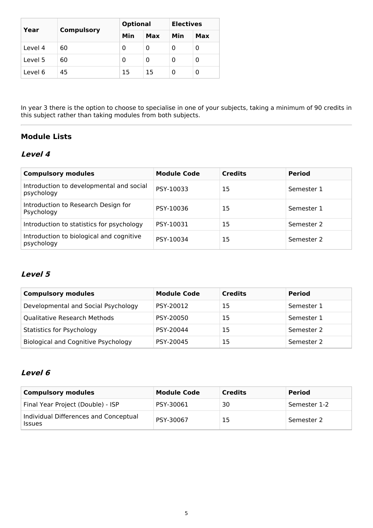|         |                   | <b>Optional</b> |            | <b>Electives</b> |     |
|---------|-------------------|-----------------|------------|------------------|-----|
| Year    | <b>Compulsory</b> | Min             | <b>Max</b> | Min              | Max |
| Level 4 | 60                | 0               | 0          |                  | 0   |
| Level 5 | 60                | 0               | 0          | O                | 0   |
| Level 6 | 45                | 15              | 15         | O                | 0   |

In year 3 there is the option to choose to specialise in one of your subjects, taking a minimum of 90 credits in this subject rather than taking modules from both subjects.

## **Module Lists**

### **Level 4**

| <b>Compulsory modules</b>                              | <b>Module Code</b> | <b>Credits</b> | <b>Period</b> |
|--------------------------------------------------------|--------------------|----------------|---------------|
| Introduction to developmental and social<br>psychology | PSY-10033          | 15             | Semester 1    |
| Introduction to Research Design for<br>Psychology      | PSY-10036          | 15             | Semester 1    |
| Introduction to statistics for psychology              | PSY-10031          | 15             | Semester 2    |
| Introduction to biological and cognitive<br>psychology | PSY-10034          | 15             | Semester 2    |

## **Level 5**

| <b>Compulsory modules</b>           | <b>Module Code</b> | <b>Credits</b> | <b>Period</b> |
|-------------------------------------|--------------------|----------------|---------------|
| Developmental and Social Psychology | PSY-20012          | 15             | Semester 1    |
| <b>Qualitative Research Methods</b> | PSY-20050          | 15             | Semester 1    |
| <b>Statistics for Psychology</b>    | PSY-20044          | 15             | Semester 2    |
| Biological and Cognitive Psychology | PSY-20045          | 15             | Semester 2    |

## **Level 6**

| <b>Compulsory modules</b>                              | <b>Module Code</b> | <b>Credits</b> | <b>Period</b> |
|--------------------------------------------------------|--------------------|----------------|---------------|
| Final Year Project (Double) - ISP                      | PSY-30061          | 30             | Semester 1-2  |
| Individual Differences and Conceptual<br><b>Issues</b> | PSY-30067          | 15             | Semester 2    |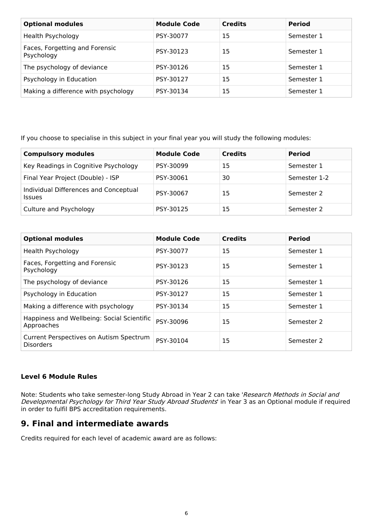| <b>Optional modules</b>                      | <b>Module Code</b> | <b>Credits</b> | <b>Period</b> |
|----------------------------------------------|--------------------|----------------|---------------|
| Health Psychology                            | PSY-30077          | 15             | Semester 1    |
| Faces, Forgetting and Forensic<br>Psychology | PSY-30123          | 15             | Semester 1    |
| The psychology of deviance                   | PSY-30126          | 15             | Semester 1    |
| Psychology in Education                      | PSY-30127          | 15             | Semester 1    |
| Making a difference with psychology          | PSY-30134          | 15             | Semester 1    |

If you choose to specialise in this subject in your final year you will study the following modules:

| <b>Compulsory modules</b>                              | <b>Module Code</b> | <b>Credits</b> | <b>Period</b> |
|--------------------------------------------------------|--------------------|----------------|---------------|
| Key Readings in Cognitive Psychology                   | PSY-30099          | 15             | Semester 1    |
| Final Year Project (Double) - ISP                      | PSY-30061          | 30             | Semester 1-2  |
| Individual Differences and Conceptual<br><b>Issues</b> | PSY-30067          | 15             | Semester 2    |
| Culture and Psychology                                 | PSY-30125          | 15             | Semester 2    |

| <b>Optional modules</b>                                     | <b>Module Code</b> | <b>Credits</b> | <b>Period</b> |
|-------------------------------------------------------------|--------------------|----------------|---------------|
| Health Psychology                                           | PSY-30077          | 15             | Semester 1    |
| Faces, Forgetting and Forensic<br>Psychology                | PSY-30123          | 15             | Semester 1    |
| The psychology of deviance                                  | PSY-30126          | 15             | Semester 1    |
| Psychology in Education                                     | PSY-30127          | 15             | Semester 1    |
| Making a difference with psychology                         | PSY-30134          | 15             | Semester 1    |
| Happiness and Wellbeing: Social Scientific<br>Approaches    | PSY-30096          | 15             | Semester 2    |
| Current Perspectives on Autism Spectrum<br><b>Disorders</b> | PSY-30104          | 15             | Semester 2    |

#### **Level 6 Module Rules**

Note: Students who take semester-long Study Abroad in Year 2 can take '*Research Methods in Social and Developmental Psychology for Third Year Study Abroad Students*' in Year 3 as an Optional module if required in order to fulfil BPS accreditation requirements.

### **9. Final and intermediate awards**

Credits required for each level of academic award are as follows: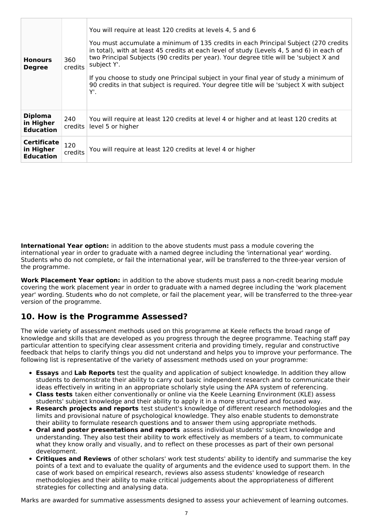| <b>Honours</b><br><b>Degree</b>                     | 360<br><b>credits</b> | You will require at least 120 credits at levels 4, 5 and 6<br>You must accumulate a minimum of 135 credits in each Principal Subject (270 credits<br>in total), with at least 45 credits at each level of study (Levels 4, 5 and 6) in each of<br>two Principal Subjects (90 credits per year). Your degree title will be 'subject X and<br>subject Y'.<br>If you choose to study one Principal subject in your final year of study a minimum of<br>90 credits in that subject is required. Your degree title will be 'subject X with subject<br>Υ'. |
|-----------------------------------------------------|-----------------------|------------------------------------------------------------------------------------------------------------------------------------------------------------------------------------------------------------------------------------------------------------------------------------------------------------------------------------------------------------------------------------------------------------------------------------------------------------------------------------------------------------------------------------------------------|
| <b>Diploma</b><br>in Higher<br><b>Education</b>     | 240<br>credits        | You will require at least 120 credits at level 4 or higher and at least 120 credits at<br>level 5 or higher                                                                                                                                                                                                                                                                                                                                                                                                                                          |
| <b>Certificate</b><br>in Higher<br><b>Education</b> | 120<br>credits        | You will require at least 120 credits at level 4 or higher                                                                                                                                                                                                                                                                                                                                                                                                                                                                                           |

**International Year option:** in addition to the above students must pass a module covering the international year in order to graduate with a named degree including the 'international year' wording. Students who do not complete, or fail the international year, will be transferred to the three-year version of the programme.

**Work Placement Year option:** in addition to the above students must pass a non-credit bearing module covering the work placement year in order to graduate with a named degree including the 'work placement year' wording. Students who do not complete, or fail the placement year, will be transferred to the three-year version of the programme.

## **10. How is the Programme Assessed?**

The wide variety of assessment methods used on this programme at Keele reflects the broad range of knowledge and skills that are developed as you progress through the degree programme. Teaching staff pay particular attention to specifying clear assessment criteria and providing timely, regular and constructive feedback that helps to clarify things you did not understand and helps you to improve your performance. The following list is representative of the variety of assessment methods used on your programme:

- **Essays** and **Lab Reports** test the quality and application of subject knowledge. In addition they allow students to demonstrate their ability to carry out basic independent research and to communicate their ideas effectively in writing in an appropriate scholarly style using the APA system of referencing.
- **Class tests** taken either conventionally or online via the Keele Learning Environment (KLE) assess students' subject knowledge and their ability to apply it in a more structured and focused way.
- **Research projects and reports** test student's knowledge of different research methodologies and the limits and provisional nature of psychological knowledge. They also enable students to demonstrate their ability to formulate research questions and to answer them using appropriate methods.
- **Oral and poster presentations and reports** assess individual students' subject knowledge and understanding. They also test their ability to work effectively as members of a team, to communicate what they know orally and visually, and to reflect on these processes as part of their own personal development.
- **Critiques and Reviews** of other scholars' work test students' ability to identify and summarise the key points of a text and to evaluate the quality of arguments and the evidence used to support them. In the case of work based on empirical research, reviews also assess students' knowledge of research methodologies and their ability to make critical judgements about the appropriateness of different strategies for collecting and analysing data.

Marks are awarded for summative assessments designed to assess your achievement of learning outcomes.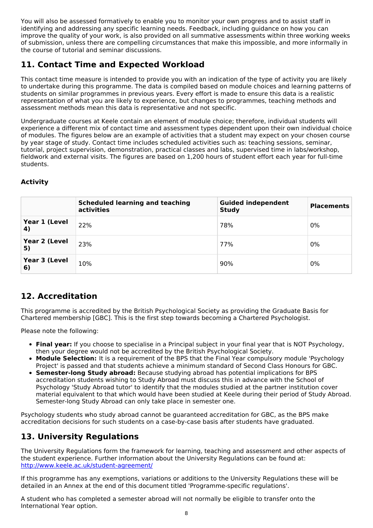You will also be assessed formatively to enable you to monitor your own progress and to assist staff in identifying and addressing any specific learning needs. Feedback, including guidance on how you can improve the quality of your work, is also provided on all summative assessments within three working weeks of submission, unless there are compelling circumstances that make this impossible, and more informally in the course of tutorial and seminar discussions.

## **11. Contact Time and Expected Workload**

This contact time measure is intended to provide you with an indication of the type of activity you are likely to undertake during this programme. The data is compiled based on module choices and learning patterns of students on similar programmes in previous years. Every effort is made to ensure this data is a realistic representation of what you are likely to experience, but changes to programmes, teaching methods and assessment methods mean this data is representative and not specific.

Undergraduate courses at Keele contain an element of module choice; therefore, individual students will experience a different mix of contact time and assessment types dependent upon their own individual choice of modules. The figures below are an example of activities that a student may expect on your chosen course by year stage of study. Contact time includes scheduled activities such as: teaching sessions, seminar, tutorial, project supervision, demonstration, practical classes and labs, supervised time in labs/workshop, fieldwork and external visits. The figures are based on 1,200 hours of student effort each year for full-time students.

### **Activity**

|                     | <b>Scheduled learning and teaching</b><br>activities | <b>Guided independent</b><br><b>Study</b> | <b>Placements</b> |
|---------------------|------------------------------------------------------|-------------------------------------------|-------------------|
| Year 1 (Level<br>4) | 22%                                                  | 78%                                       | 0%                |
| Year 2 (Level<br>5) | 23%                                                  | 77%                                       | 0%                |
| Year 3 (Level<br>6) | 10%                                                  | 90%                                       | 0%                |

## **12. Accreditation**

This programme is accredited by the British Psychological Society as providing the Graduate Basis for Chartered membership [GBC]. This is the first step towards becoming a Chartered Psychologist.

Please note the following:

- **Final year:** If you choose to specialise in a Principal subject in your final year that is NOT Psychology, then your degree would not be accredited by the British Psychological Society.
- **Module Selection:** It is a requirement of the BPS that the Final Year compulsory module 'Psychology Project' is passed and that students achieve a minimum standard of Second Class Honours for GBC.
- **Semester-long Study abroad:** Because studying abroad has potential implications for BPS accreditation students wishing to Study Abroad must discuss this in advance with the School of Psychology 'Study Abroad tutor' to identify that the modules studied at the partner institution cover material equivalent to that which would have been studied at Keele during their period of Study Abroad. Semester-long Study Abroad can only take place in semester one.

Psychology students who study abroad cannot be guaranteed accreditation for GBC, as the BPS make accreditation decisions for such students on a case-by-case basis after students have graduated.

## **13. University Regulations**

The University Regulations form the framework for learning, teaching and assessment and other aspects of the student experience. Further information about the University Regulations can be found at: <http://www.keele.ac.uk/student-agreement/>

If this programme has any exemptions, variations or additions to the University Regulations these will be detailed in an Annex at the end of this document titled 'Programme-specific regulations'.

A student who has completed a semester abroad will not normally be eligible to transfer onto the International Year option.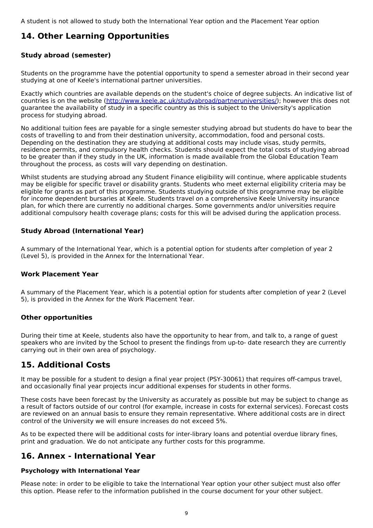## **14. Other Learning Opportunities**

### **Study abroad (semester)**

Students on the programme have the potential opportunity to spend a semester abroad in their second year studying at one of Keele's international partner universities.

Exactly which countries are available depends on the student's choice of degree subjects. An indicative list of countries is on the website (<http://www.keele.ac.uk/studyabroad/partneruniversities/>); however this does not guarantee the availability of study in a specific country as this is subject to the University's application process for studying abroad.

No additional tuition fees are payable for a single semester studying abroad but students do have to bear the costs of travelling to and from their destination university, accommodation, food and personal costs. Depending on the destination they are studying at additional costs may include visas, study permits, residence permits, and compulsory health checks. Students should expect the total costs of studying abroad to be greater than if they study in the UK, information is made available from the Global Education Team throughout the process, as costs will vary depending on destination.

Whilst students are studying abroad any Student Finance eligibility will continue, where applicable students may be eligible for specific travel or disability grants. Students who meet external eligibility criteria may be eligible for grants as part of this programme. Students studying outside of this programme may be eligible for income dependent bursaries at Keele. Students travel on a comprehensive Keele University insurance plan, for which there are currently no additional charges. Some governments and/or universities require additional compulsory health coverage plans; costs for this will be advised during the application process.

### **Study Abroad (International Year)**

A summary of the International Year, which is a potential option for students after completion of year 2 (Level 5), is provided in the Annex for the International Year.

#### **Work Placement Year**

A summary of the Placement Year, which is a potential option for students after completion of year 2 (Level 5), is provided in the Annex for the Work Placement Year.

#### **Other opportunities**

During their time at Keele, students also have the opportunity to hear from, and talk to, a range of guest speakers who are invited by the School to present the findings from up-to- date research they are currently carrying out in their own area of psychology.

## **15. Additional Costs**

It may be possible for a student to design a final year project (PSY-30061) that requires off-campus travel, and occasionally final year projects incur additional expenses for students in other forms.

These costs have been forecast by the University as accurately as possible but may be subject to change as a result of factors outside of our control (for example, increase in costs for external services). Forecast costs are reviewed on an annual basis to ensure they remain representative. Where additional costs are in direct control of the University we will ensure increases do not exceed 5%.

As to be expected there will be additional costs for inter-library loans and potential overdue library fines, print and graduation. We do not anticipate any further costs for this programme.

## **16. Annex - International Year**

#### **Psychology with International Year**

Please note: in order to be eligible to take the International Year option your other subject must also offer this option. Please refer to the information published in the course document for your other subject.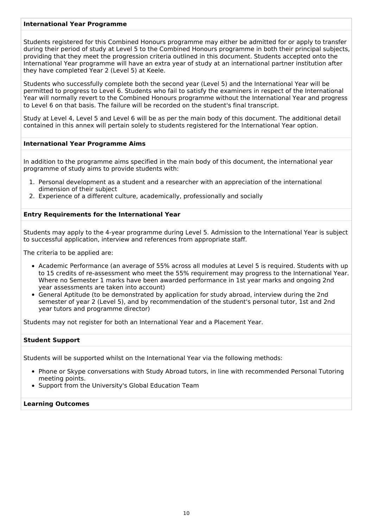#### **International Year Programme**

Students registered for this Combined Honours programme may either be admitted for or apply to transfer during their period of study at Level 5 to the Combined Honours programme in both their principal subjects, providing that they meet the progression criteria outlined in this document. Students accepted onto the International Year programme will have an extra year of study at an international partner institution after they have completed Year 2 (Level 5) at Keele.

Students who successfully complete both the second year (Level 5) and the International Year will be permitted to progress to Level 6. Students who fail to satisfy the examiners in respect of the International Year will normally revert to the Combined Honours programme without the International Year and progress to Level 6 on that basis. The failure will be recorded on the student's final transcript.

Study at Level 4, Level 5 and Level 6 will be as per the main body of this document. The additional detail contained in this annex will pertain solely to students registered for the International Year option.

#### **International Year Programme Aims**

In addition to the programme aims specified in the main body of this document, the international year programme of study aims to provide students with:

- 1. Personal development as a student and a researcher with an appreciation of the international dimension of their subject
- 2. Experience of a different culture, academically, professionally and socially

#### **Entry Requirements for the International Year**

Students may apply to the 4-year programme during Level 5. Admission to the International Year is subject to successful application, interview and references from appropriate staff.

The criteria to be applied are:

- Academic Performance (an average of 55% across all modules at Level 5 is required. Students with up to 15 credits of re-assessment who meet the 55% requirement may progress to the International Year. Where no Semester 1 marks have been awarded performance in 1st year marks and ongoing 2nd year assessments are taken into account)
- General Aptitude (to be demonstrated by application for study abroad, interview during the 2nd semester of year 2 (Level 5), and by recommendation of the student's personal tutor, 1st and 2nd year tutors and programme director)

Students may not register for both an International Year and a Placement Year.

#### **Student Support**

Students will be supported whilst on the International Year via the following methods:

- Phone or Skype conversations with Study Abroad tutors, in line with recommended Personal Tutoring meeting points.
- Support from the University's Global Education Team

#### **Learning Outcomes**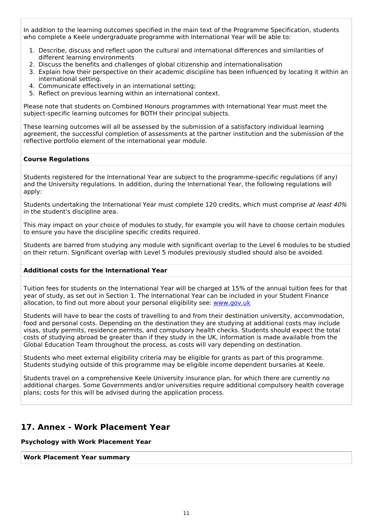In addition to the learning outcomes specified in the main text of the Programme Specification, students who complete a Keele undergraduate programme with International Year will be able to:

- 1. Describe, discuss and reflect upon the cultural and international differences and similarities of different learning environments
- 2. Discuss the benefits and challenges of global citizenship and internationalisation
- 3. Explain how their perspective on their academic discipline has been influenced by locating it within an international setting.
- 4. Communicate effectively in an international setting;
- 5. Reflect on previous learning within an international context.

Please note that students on Combined Honours programmes with International Year must meet the subject-specific learning outcomes for BOTH their principal subjects.

These learning outcomes will all be assessed by the submission of a satisfactory individual learning agreement, the successful completion of assessments at the partner institution and the submission of the reflective portfolio element of the international year module.

#### **Course Regulations**

Students registered for the International Year are subject to the programme-specific regulations (if any) and the University regulations. In addition, during the International Year, the following regulations will apply:

Students undertaking the International Year must complete 120 credits, which must comprise at least 40% in the student's discipline area.

This may impact on your choice of modules to study, for example you will have to choose certain modules to ensure you have the discipline specific credits required.

Students are barred from studying any module with significant overlap to the Level 6 modules to be studied on their return. Significant overlap with Level 5 modules previously studied should also be avoided.

#### **Additional costs for the International Year**

Tuition fees for students on the International Year will be charged at 15% of the annual tuition fees for that year of study, as set out in Section 1. The International Year can be included in your Student Finance allocation, to find out more about your personal eligibility see: [www.gov.uk](http://www.gov.uk/)

Students will have to bear the costs of travelling to and from their destination university, accommodation, food and personal costs. Depending on the destination they are studying at additional costs may include visas, study permits, residence permits, and compulsory health checks. Students should expect the total costs of studying abroad be greater than if they study in the UK, information is made available from the Global Education Team throughout the process, as costs will vary depending on destination.

Students who meet external eligibility criteria may be eligible for grants as part of this programme. Students studying outside of this programme may be eligible income dependent bursaries at Keele.

Students travel on a comprehensive Keele University insurance plan, for which there are currently no additional charges. Some Governments and/or universities require additional compulsory health coverage plans; costs for this will be advised during the application process.

### **17. Annex - Work Placement Year**

#### **Psychology with Work Placement Year**

#### **Work Placement Year summary**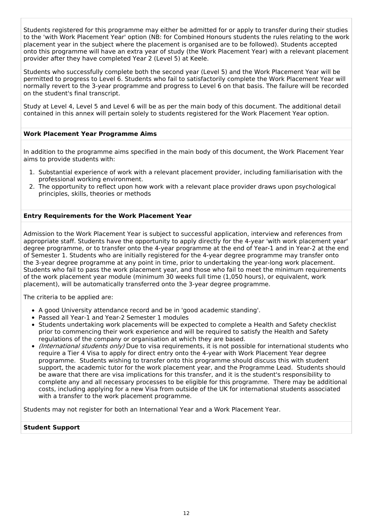Students registered for this programme may either be admitted for or apply to transfer during their studies to the 'with Work Placement Year' option (NB: for Combined Honours students the rules relating to the work placement year in the subject where the placement is organised are to be followed). Students accepted onto this programme will have an extra year of study (the Work Placement Year) with a relevant placement provider after they have completed Year 2 (Level 5) at Keele.

Students who successfully complete both the second year (Level 5) and the Work Placement Year will be permitted to progress to Level 6. Students who fail to satisfactorily complete the Work Placement Year will normally revert to the 3-year programme and progress to Level 6 on that basis. The failure will be recorded on the student's final transcript.

Study at Level 4, Level 5 and Level 6 will be as per the main body of this document. The additional detail contained in this annex will pertain solely to students registered for the Work Placement Year option.

#### **Work Placement Year Programme Aims**

In addition to the programme aims specified in the main body of this document, the Work Placement Year aims to provide students with:

- 1. Substantial experience of work with a relevant placement provider, including familiarisation with the professional working environment.
- 2. The opportunity to reflect upon how work with a relevant place provider draws upon psychological principles, skills, theories or methods

#### **Entry Requirements for the Work Placement Year**

Admission to the Work Placement Year is subject to successful application, interview and references from appropriate staff. Students have the opportunity to apply directly for the 4-year 'with work placement year' degree programme, or to transfer onto the 4-year programme at the end of Year-1 and in Year-2 at the end of Semester 1. Students who are initially registered for the 4-year degree programme may transfer onto the 3-year degree programme at any point in time, prior to undertaking the year-long work placement. Students who fail to pass the work placement year, and those who fail to meet the minimum requirements of the work placement year module (minimum 30 weeks full time (1,050 hours), or equivalent, work placement), will be automatically transferred onto the 3-year degree programme.

The criteria to be applied are:

- A good University attendance record and be in 'good academic standing'.
- Passed all Year-1 and Year-2 Semester 1 modules
- Students undertaking work placements will be expected to complete a Health and Safety checklist prior to commencing their work experience and will be required to satisfy the Health and Safety regulations of the company or organisation at which they are based.
- (International students only) Due to visa requirements, it is not possible for international students who require a Tier 4 Visa to apply for direct entry onto the 4-year with Work Placement Year degree programme. Students wishing to transfer onto this programme should discuss this with student support, the academic tutor for the work placement year, and the Programme Lead. Students should be aware that there are visa implications for this transfer, and it is the student's responsibility to complete any and all necessary processes to be eligible for this programme. There may be additional costs, including applying for a new Visa from outside of the UK for international students associated with a transfer to the work placement programme.

Students may not register for both an International Year and a Work Placement Year.

#### **Student Support**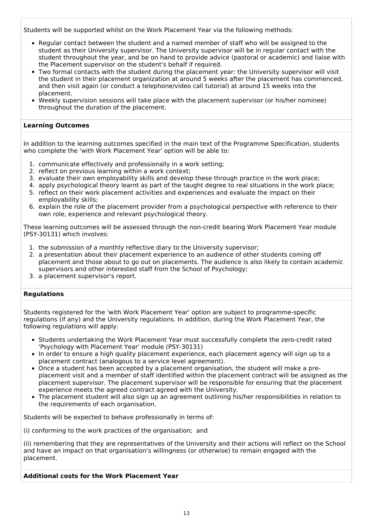Students will be supported whilst on the Work Placement Year via the following methods:

- Regular contact between the student and a named member of staff who will be assigned to the student as their University supervisor. The University supervisor will be in regular contact with the student throughout the year, and be on hand to provide advice (pastoral or academic) and liaise with the Placement supervisor on the student's behalf if required.
- Two formal contacts with the student during the placement year: the University supervisor will visit the student in their placement organization at around 5 weeks after the placement has commenced, and then visit again (or conduct a telephone/video call tutorial) at around 15 weeks into the placement.
- Weekly supervision sessions will take place with the placement supervisor (or his/her nominee) throughout the duration of the placement.

#### **Learning Outcomes**

In addition to the learning outcomes specified in the main text of the Programme Specification, students who complete the 'with Work Placement Year' option will be able to:

- 1. communicate effectively and professionally in a work setting;
- 2. reflect on previous learning within a work context;
- 3. evaluate their own employability skills and develop these through practice in the work place;
- 4. apply psychological theory learnt as part of the taught degree to real situations in the work place;
- 5. reflect on their work placement activities and experiences and evaluate the impact on their employability skills;
- 6. explain the role of the placement provider from a psychological perspective with reference to their own role, experience and relevant psychological theory.

These learning outcomes will be assessed through the non-credit bearing Work Placement Year module (PSY-30131) which involves:

- 1. the submission of a monthly reflective diary to the University supervisor;
- 2. a presentation about their placement experience to an audience of other students coming off placement and those about to go out on placements. The audience is also likely to contain academic supervisors and other interested staff from the School of Psychology;
- 3. a placement supervisor's report.

#### **Regulations**

Students registered for the 'with Work Placement Year' option are subject to programme-specific regulations (if any) and the University regulations. In addition, during the Work Placement Year, the following regulations will apply:

- Students undertaking the Work Placement Year must successfully complete the zero-credit rated 'Psychology with Placement Year' module (PSY-30131)
- In order to ensure a high quality placement experience, each placement agency will sign up to a placement contract (analogous to a service level agreement).
- Once a student has been accepted by a placement organisation, the student will make a preplacement visit and a member of staff identified within the placement contract will be assigned as the placement supervisor. The placement supervisor will be responsible for ensuring that the placement experience meets the agreed contract agreed with the University.
- The placement student will also sign up an agreement outlining his/her responsibilities in relation to the requirements of each organisation.

Students will be expected to behave professionally in terms of:

(i) conforming to the work practices of the organisation; and

(ii) remembering that they are representatives of the University and their actions will reflect on the School and have an impact on that organisation's willingness (or otherwise) to remain engaged with the placement.

#### **Additional costs for the Work Placement Year**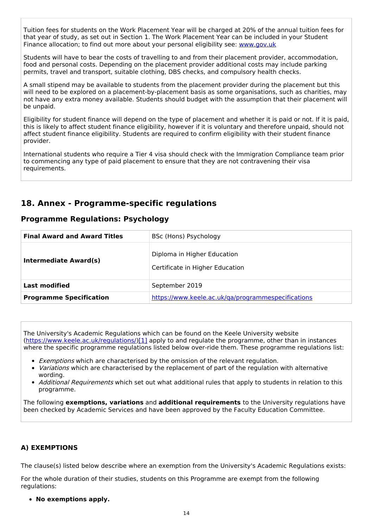Tuition fees for students on the Work Placement Year will be charged at 20% of the annual tuition fees for that year of study, as set out in Section 1. The Work Placement Year can be included in your Student Finance allocation; to find out more about your personal eligibility see: [www.gov.uk](http://www.gov.uk/)

Students will have to bear the costs of travelling to and from their placement provider, accommodation, food and personal costs. Depending on the placement provider additional costs may include parking permits, travel and transport, suitable clothing, DBS checks, and compulsory health checks.

A small stipend may be available to students from the placement provider during the placement but this will need to be explored on a placement-by-placement basis as some organisations, such as charities, may not have any extra money available. Students should budget with the assumption that their placement will be unpaid.

Eligibility for student finance will depend on the type of placement and whether it is paid or not. If it is paid, this is likely to affect student finance eligibility, however if it is voluntary and therefore unpaid, should not affect student finance eligibility. Students are required to confirm eligibility with their student finance provider.

International students who require a Tier 4 visa should check with the Immigration Compliance team prior to commencing any type of paid placement to ensure that they are not contravening their visa requirements.

## **18. Annex - Programme-specific regulations**

### **Programme Regulations: Psychology**

| <b>Final Award and Award Titles</b> | BSc (Hons) Psychology                                          |
|-------------------------------------|----------------------------------------------------------------|
| Intermediate Award(s)               | Diploma in Higher Education<br>Certificate in Higher Education |
| <b>Last modified</b>                | September 2019                                                 |
| <b>Programme Specification</b>      | https://www.keele.ac.uk/ga/programmespecifications             |

The University's Academic Regulations which can be found on the Keele University website [\(https://www.keele.ac.uk/regulations/](https://www.keele.ac.uk/regulations/)[\)\[1\]](https://scims-api.keele.ac.uk/#_ftn1) apply to and regulate the programme, other than in instances where the specific programme regulations listed below over-ride them. These programme regulations list:

- Exemptions which are characterised by the omission of the relevant regulation.
- Variations which are characterised by the replacement of part of the regulation with alternative wording.
- Additional Requirements which set out what additional rules that apply to students in relation to this programme.

The following **exemptions, variations** and **additional requirements** to the University regulations have been checked by Academic Services and have been approved by the Faculty Education Committee.

#### **A) EXEMPTIONS**

The clause(s) listed below describe where an exemption from the University's Academic Regulations exists:

For the whole duration of their studies, students on this Programme are exempt from the following regulations:

**No exemptions apply.**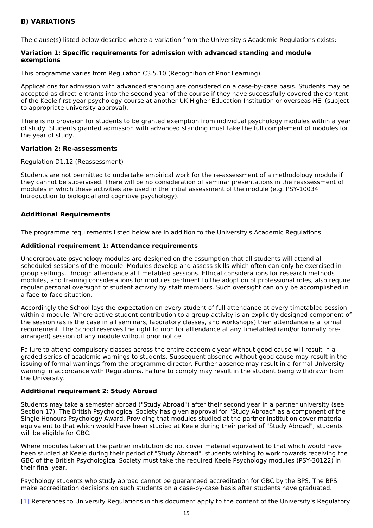### **B) VARIATIONS**

The clause(s) listed below describe where a variation from the University's Academic Regulations exists:

#### **Variation 1: Specific requirements for admission with advanced standing and module exemptions**

This programme varies from Regulation C3.5.10 (Recognition of Prior Learning).

Applications for admission with advanced standing are considered on a case-by-case basis. Students may be accepted as direct entrants into the second year of the course if they have successfully covered the content of the Keele first year psychology course at another UK Higher Education Institution or overseas HEI (subject to appropriate university approval).

There is no provision for students to be granted exemption from individual psychology modules within a year of study. Students granted admission with advanced standing must take the full complement of modules for the year of study.

#### **Variation 2: Re-assessments**

Regulation D1.12 (Reassessment)

Students are not permitted to undertake empirical work for the re-assessment of a methodology module if they cannot be supervised. There will be no consideration of seminar presentations in the reassessment of modules in which these activities are used in the initial assessment of the module (e.g. PSY-10034 Introduction to biological and cognitive psychology).

#### **Additional Requirements**

The programme requirements listed below are in addition to the University's Academic Regulations:

#### **Additional requirement 1: Attendance requirements**

Undergraduate psychology modules are designed on the assumption that all students will attend all scheduled sessions of the module. Modules develop and assess skills which often can only be exercised in group settings, through attendance at timetabled sessions. Ethical considerations for research methods modules, and training considerations for modules pertinent to the adoption of professional roles, also require regular personal oversight of student activity by staff members. Such oversight can only be accomplished in a face-to-face situation.

Accordingly the School lays the expectation on every student of full attendance at every timetabled session within a module. Where active student contribution to a group activity is an explicitly designed component of the session (as is the case in all seminars, laboratory classes, and workshops) then attendance is a formal requirement. The School reserves the right to monitor attendance at any timetabled (and/or formally prearranged) session of any module without prior notice.

Failure to attend compulsory classes across the entire academic year without good cause will result in a graded series of academic warnings to students. Subsequent absence without good cause may result in the issuing of formal warnings from the programme director. Further absence may result in a formal University warning in accordance with Regulations. Failure to comply may result in the student being withdrawn from the University.

#### **Additional requirement 2: Study Abroad**

Students may take a semester abroad ("Study Abroad") after their second year in a partner university (see Section 17). The British Psychological Society has given approval for "Study Abroad" as a component of the Single Honours Psychology Award. Providing that modules studied at the partner institution cover material equivalent to that which would have been studied at Keele during their period of "Study Abroad", students will be eligible for GBC.

Where modules taken at the partner institution do not cover material equivalent to that which would have been studied at Keele during their period of "Study Abroad", students wishing to work towards receiving the GBC of the British Psychological Society must take the required Keele Psychology modules (PSY-30122) in their final year.

Psychology students who study abroad cannot be guaranteed accreditation for GBC by the BPS. The BPS make accreditation decisions on such students on a case-by-case basis after students have graduated.

[\[1\]](https://scims-api.keele.ac.uk/#_ftnref1) References to University Regulations in this document apply to the content of the University's Regulatory